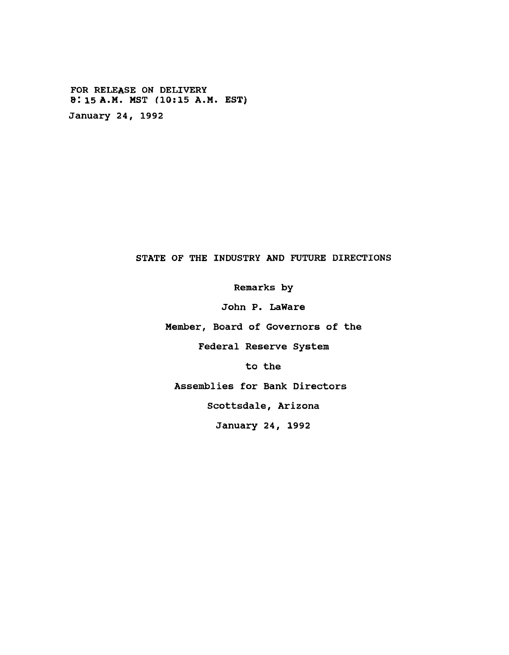**FOR RELEASE ON DELIVERY SI 15 A.M. MST f10:15 A.M. EST) January 24, 1992**

## **STATE OF THE INDUSTRY AND FUTURE DIRECTIONS**

**Remarks by**

**John P. LaWare**

**Member, Board of Governors of the**

**Federal Reserve System**

**to the**

**Assemblies for Bank Directors**

**Scottsdale, Arizona**

**January 24, 1992**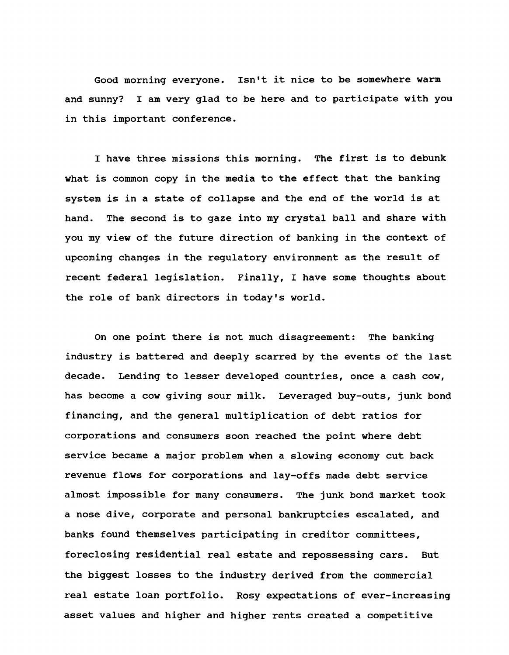**Good morning everyone. Isn't it nice to be somewhere warm and sunny? I am very glad to be here and to participate with you in this important conference.**

**I have three missions this morning. The first is to debunk what is common copy in the media to the effect that the banking system is in a state of collapse and the end of the world is at hand. The second is to gaze into my crystal ball and share with you my view of the future direction of banking in the context of upcoming changes in the regulatory environment as the result of recent federal legislation. Finally, I have some thoughts about the role of bank directors in today's world.**

**On one point there is not much disagreement: The banking industry is battered and deeply scarred by the events of the last decade. Lending to lesser developed countries, once a cash cow, has become a cow giving sour milk. Leveraged buy-outs, junk bond financing, and the general multiplication of debt ratios for corporations and consumers soon reached the point where debt service became a major problem when a slowing economy cut back revenue flows for corporations and lay-offs made debt service almost impossible for many consumers. The junk bond market took a nose dive, corporate and personal bankruptcies escalated, and banks found themselves participating in creditor committees, foreclosing residential real estate and repossessing cars. But the biggest losses to the industry derived from the commercial real estate loan portfolio. Rosy expectations of ever-increasing asset values and higher and higher rents created a competitive**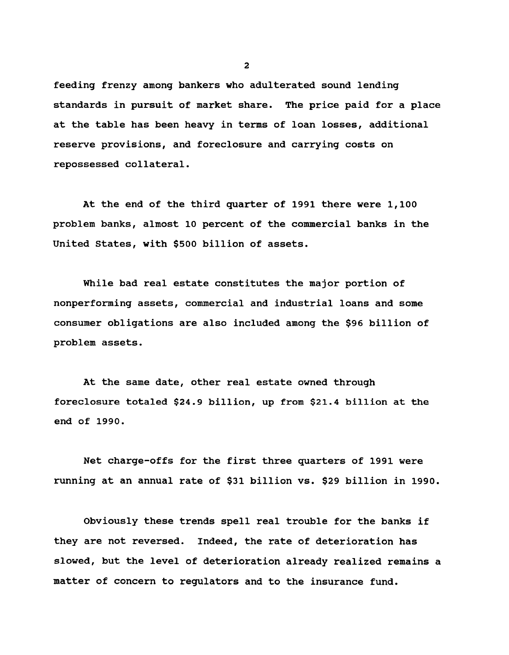**feeding frenzy among bankers who adulterated sound lending standards in pursuit of market share. The price paid for a place at the table has been heavy in terms of loan losses, additional reserve provisions, and foreclosure and carrying costs on repossessed collateral.**

**At the end of the third quarter of 1991 there were 1,100 problem banks, almost 10 percent of the commercial banks in the United States, with \$500 billion of assets.**

**While bad real estate constitutes the major portion of nonperforming assets, commercial and industrial loans and some consumer obligations are also included among the \$96 billion of problem assets.**

**At the same date, other real estate owned through foreclosure totaled \$24.9 billion, up from \$21.4 billion at the end of 1990.**

**Net charge-offs for the first three quarters of 1991 were running at an annual rate of \$31 billion vs. \$29 billion in 1990.**

**Obviously these trends spell real trouble for the banks if they are not reversed. Indeed, the rate of deterioration has slowed, but the level of deterioration already realized remains a matter of concern to regulators and to the insurance fund.**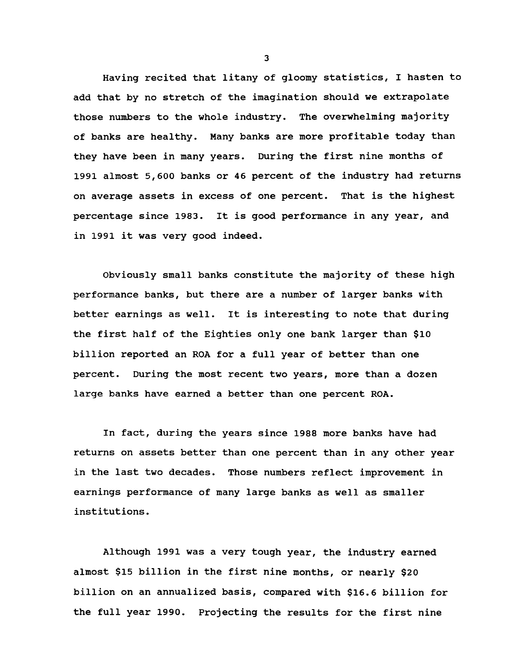**Having recited that litany of gloomy statistics, I hasten to add that by no stretch of the imagination should we extrapolate those numbers to the whole industry. The overwhelming majority of banks are healthy. Many banks are more profitable today than they have been in many years. During the first nine months of 1991 almost 5,600 banks or 46 percent of the industry had returns on average assets in excess of one percent. That is the highest percentage since 1983. It is good performance in any year, and in 1991 it was very good indeed.**

**Obviously small banks constitute the majority of these high performance banks, but there are a number of larger banks with better earnings as well. It is interesting to note that during the first half of the Eighties only one bank larger than \$10 billion reported an ROA for a full year of better than one percent. During the most recent two years, more than a dozen large banks have earned a better than one percent ROA.**

**In fact, during the years since 1988 more banks have had returns on assets better than one percent than in any other year in the last two decades. Those numbers reflect improvement in earnings performance of many large banks as well as smaller institutions.**

**Although 1991 was a very tough year, the industry earned almost \$15 billion in the first nine months, or nearly \$20 billion on an annualized basis, compared with \$16.6 billion for the full year 1990. Projecting the results for the first nine**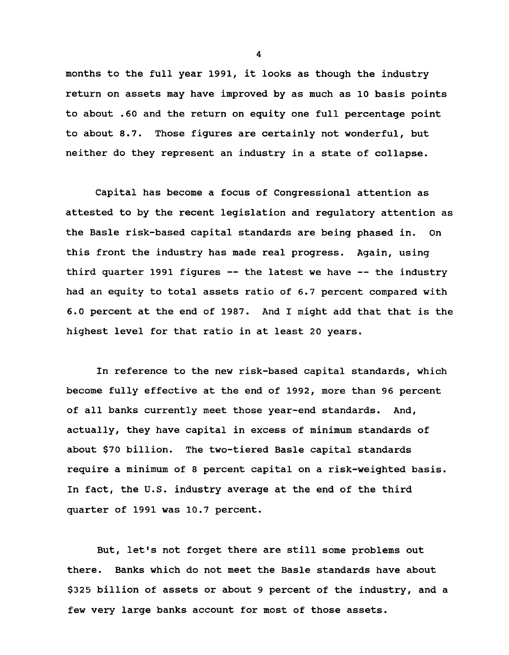**months to the full year 1991, it looks as though the industry return on assets may have improved by as much as 10 basis points to about .60 and the return on equity one full percentage point to about 8.7. Those figures are certainly not wonderful, but neither do they represent an industry in a state of collapse.**

**Capital has become a focus of Congressional attention as attested to by the recent legislation and regulatory attention as the Basle risk-based capital standards are being phased in. On this front the industry has made real progress. Again, using third quarter 1991 figures — the latest we have — the industry had an equity to total assets ratio of 6.7 percent compared with 6.0 percent at the end of 1987. And I might add that that is the highest level for that ratio in at least 20 years.**

**In reference to the new risk-based capital standards, which become fully effective at the end of 1992, more than 96 percent of all banks currently meet those year-end standards. And, actually, they have capital in excess of minimum standards of about \$70 billion. The two-tiered Basle capital standards require a minimum of 8 percent capital on a risk-weighted basis. In fact, the U.S. industry average at the end of the third quarter of 1991 was 10.7 percent.**

**But, let's not forget there are still some problems out there. Banks which do not meet the Basle standards have about \$325 billion of assets or about 9 percent of the industry, and a few very large banks account for most of those assets.**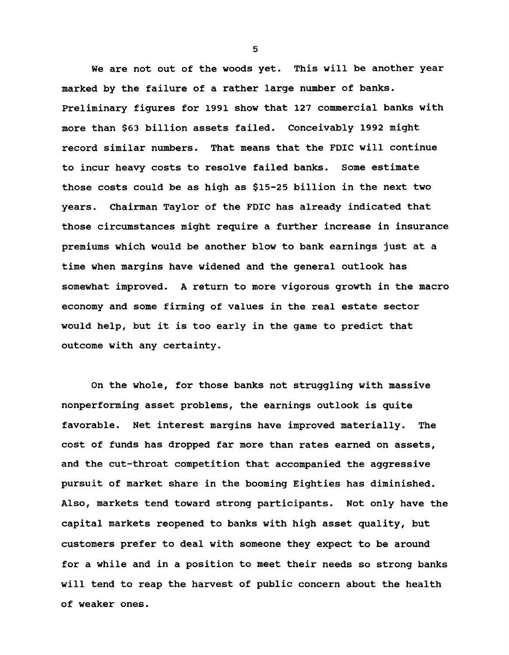**We are not out of the woods yet. This will be another year marked by the failure of a rather large number of banks. Preliminary figures for 1991 show that 127 commercial banks with more than \$63 billion assets failed. Conceivably 1992 might record similar numbers. That means that the FDIC will continue to incur heavy costs to resolve failed banks. Some estimate those costs could be as high as \$15-25 billion in the next two years. Chairman Taylor of the FDIC has already indicated that those circumstances might require a further increase in insurance premiums which would be another blow to bank earnings just at a time when margins have widened and the general outlook has somewhat improved. A return to more vigorous growth in the macro economy and some firming of values in the real estate sector would help, but it is too early in the game to predict that outcome with any certainty.**

**On the whole, for those banks not struggling with massive nonperforming asset problems, the earnings outlook is quite favorable. Net interest margins have improved materially. The cost of funds has dropped far more than rates earned on assets, and the cut-throat competition that accompanied the aggressive pursuit of market share in the booming Eighties has diminished. Also, markets tend toward strong participants. Not only have the capital markets reopened to banks with high asset quality, but customers prefer to deal with someone they expect to be around for a while and in a position to meet their needs so strong banks will tend to reap the harvest of public concern about the health of weaker ones.**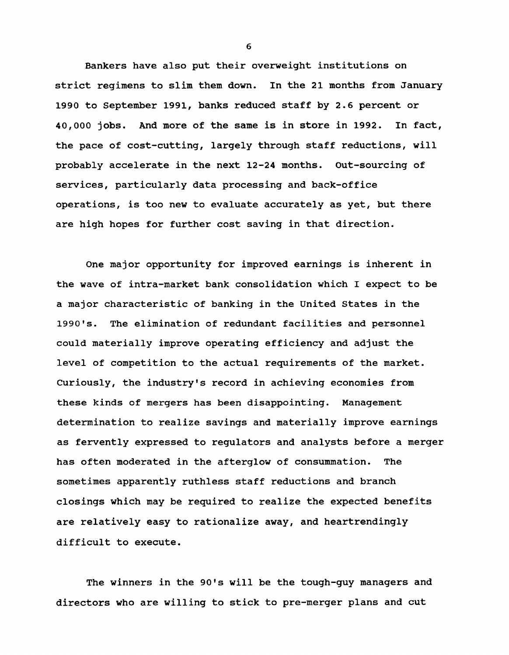**Bankers have also put their overweight institutions on strict regimens to slim them down. In the 21 months from January 1990 to September 1991, banks reduced staff by 2.6 percent or 40,000 jobs. And more of the same is in store in 1992. In fact, the pace of cost-cutting, largely through staff reductions, will probably accelerate in the next 12-24 months. Out-sourcing of services, particularly data processing and back-office operations, is too new to evaluate accurately as yet, but there are high hopes for further cost saving in that direction.**

**One major opportunity for improved earnings is inherent in the wave of intra-market bank consolidation which I expect to be a major characteristic of banking in the United States in the 1990's. The elimination of redundant facilities and personnel could materially improve operating efficiency and adjust the level of competition to the actual requirements of the market. Curiously, the industry's record in achieving economies from these kinds of mergers has been disappointing. Management determination to realize savings and materially improve earnings as fervently expressed to regulators and analysts before a merger has often moderated in the afterglow of consummation. The sometimes apparently ruthless staff reductions and branch closings which may be required to realize the expected benefits are relatively easy to rationalize away, and heartrendingly difficult to execute.**

**The winners in the 90's will be the tough-guy managers and directors who are willing to stick to pre-merger plans and cut**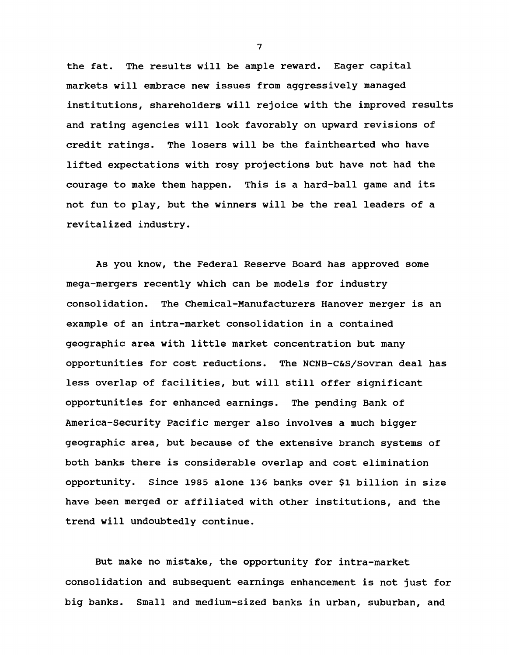**the fat. The results will be ample reward. Eager capital markets will embrace new issues from aggressively managed institutions, shareholders will rejoice with the improved results and rating agencies will look favorably on upward revisions of credit ratings. The losers will be the fainthearted who have lifted expectations with rosy projections but have not had the courage to make them happen. This is a hard-ball game and its not fun to play, but the winners will be the real leaders of a revitalized industry.**

**As you know, the Federal Reserve Board has approved some mega-mergers recently which can be models for industry consolidation. The Chemical-Manufacturers Hanover merger is an example of an intra-market consolidation in a contained geographic area with little market concentration but many opportunities for cost reductions. The NCNB-C&S/Sovran deal has less overlap of facilities, but will still offer significant opportunities for enhanced earnings. The pending Bank of America-Security Pacific merger also involves a much bigger geographic area, but because of the extensive branch systems of both banks there is considerable overlap and cost elimination opportunity. Since 1985 alone 136 banks over \$1 billion in size have been merged or affiliated with other institutions, and the trend will undoubtedly continue.**

**But make no mistake, the opportunity for intra-market consolidation and subsequent earnings enhancement is not just for big banks. Small and medium-sized banks in urban, suburban, and**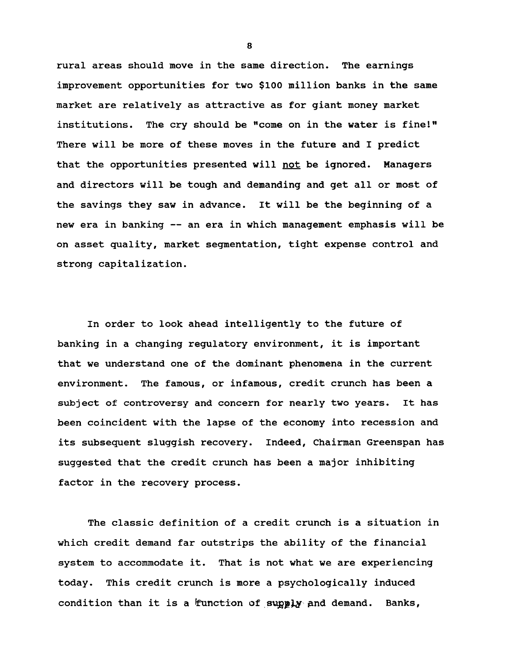**rural areas should move in the same direction. The earnings improvement opportunities for two \$100 million banks in the same market are relatively as attractive as for giant money market institutions. The cry should be ''come on in the water is fine!" There will be more of these moves in the future and I predict that the opportunities presented will not be ignored. Managers and directors will be tough and demanding and get all or most of the savings they saw in advance. It will be the beginning of a new era in banking — an era in which management emphasis will be on asset quality, market segmentation, tight expense control and strong capitalization.**

**In order to look ahead intelligently to the future of banking in a changing regulatory environment, it is important that we understand one of the dominant phenomena in the current environment. The famous, or infamous, credit crunch has been a subject of controversy and concern for nearly two years. It has been coincident with the lapse of the economy into recession and its subsequent sluggish recovery. Indeed, Chairman Greenspan has suggested that the credit crunch has been a major inhibiting factor in the recovery process.**

**The classic definition of a credit crunch is a situation in which credit demand far outstrips the ability of the financial system to accommodate it. That is not what we are experiencing today. This credit crunch is more a psychologically induced** condition than it is a function of supply and demand. Banks,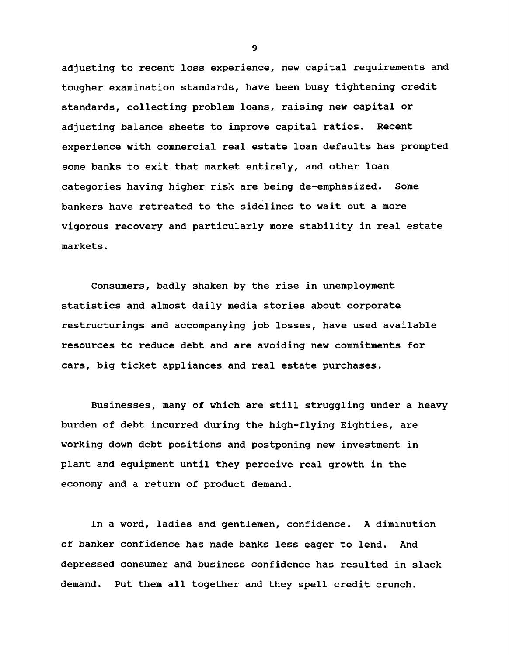**adjusting to recent loss experience, new capital requirements and tougher examination standards, have been busy tightening credit standards, collecting problem loans, raising new capital or adjusting balance sheets to improve capital ratios. Recent experience with commercial real estate loan defaults has prompted some banks to exit that market entirely, and other loan categories having higher risk are being de-emphasized. Some bankers have retreated to the sidelines to wait out a more vigorous recovery and particularly more stability in real estate markets.**

**Consumers, badly shaken by the rise in unemployment statistics and almost daily media stories about corporate restructurings and accompanying job losses, have used available resources to reduce debt and are avoiding new commitments for cars, big ticket appliances and real estate purchases.**

**Businesses, many of which are still struggling under a heavy burden of debt incurred during the high-flying Eighties, are working down debt positions and postponing new investment in plant and equipment until they perceive real growth in the economy and a return of product demand.**

**In a word, ladies and gentlemen, confidence. A diminution of banker confidence has made banks less eager to lend. And depressed consumer and business confidence has resulted in slack demand. Put them all together and they spell credit crunch.**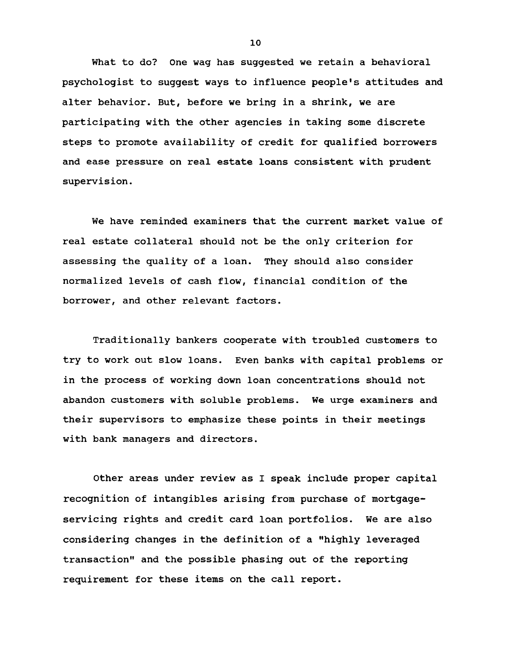**What to do? One wag has suggested we retain a behavioral psychologist to suggest ways to influence people's attitudes and alter behavior. But, before we bring in a shrink, we are participating with the other agencies in taking some discrete steps to promote availability of credit for qualified borrowers and ease pressure on real estate loans consistent with prudent supervision.**

**We have reminded examiners that the current market value of real estate collateral should not be the only criterion for assessing the quality of a loan. They should also consider normalized levels of cash flow, financial condition of the borrower, and other relevant factors.**

**Traditionally bankers cooperate with troubled customers to try to work out slow loans. Even banks with capital problems or in the process of working down loan concentrations should not abandon customers with soluble problems. We urge examiners and their supervisors to emphasize these points in their meetings with bank managers and directors.**

**Other areas under review as I speak include proper capital recognition of intangibles arising from purchase of mortgageservicing rights and credit card loan portfolios. We are also considering changes in the definition of a "highly leveraged transaction" and the possible phasing out of the reporting requirement for these items on the call report.**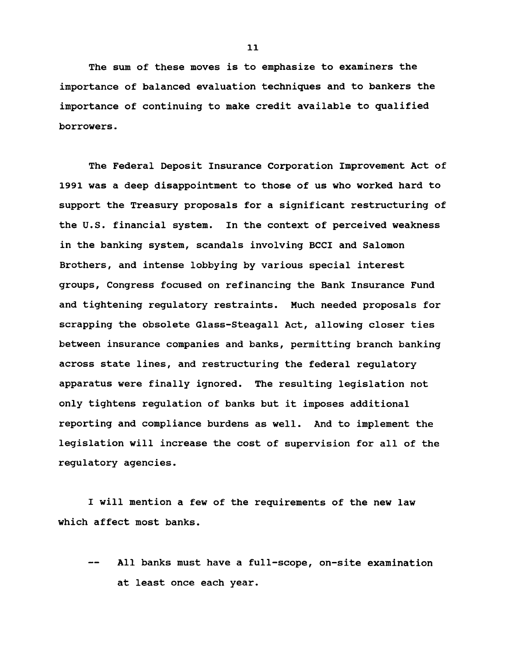**The sum of these moves is to emphasize to examiners the importance of balanced evaluation techniques and to bankers the importance of continuing to make credit available to qualified borrowers.**

**The Federal Deposit Insurance Corporation Improvement Act of 1991 was a deep disappointment to those of us who worked hard to support the Treasury proposals for a significant restructuring of the U.S. financial system. In the context of perceived weakness in the banking system, scandals involving BCCI and Salomon Brothers, and intense lobbying by various special interest groups, Congress focused on refinancing the Bank Insurance Fund and tightening regulatory restraints. Much needed proposals for scrapping the obsolete Glass-Steagall Act, allowing closer ties between insurance companies and banks, permitting branch banking across state lines, and restructuring the federal regulatory apparatus were finally ignored. The resulting legislation not only tightens regulation of banks but it imposes additional reporting and compliance burdens as well. And to implement the legislation will increase the cost of supervision for all of the regulatory agencies.**

**I will mention a few of the requirements of the new law which affect most banks.**

**— All banks must have a full-scope, on-site examination at least once each year.**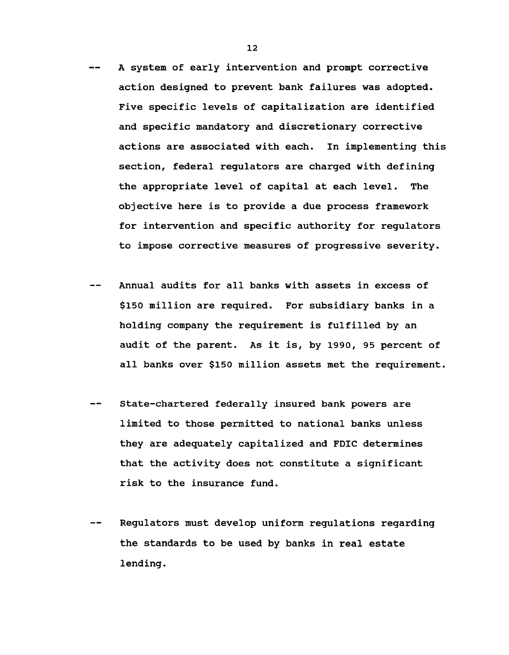- **A system of early intervention and prompt corrective action designed to prevent bank failures was adopted. Five specific levels of capitalization are identified and specific mandatory and discretionary corrective actions are associated with each. In implementing this section, federal regulators are charged with defining the appropriate level of capital at each level. The objective here is to provide a due process framework for intervention and specific authority for regulators to impose corrective measures of progressive severity.**
- **Annual audits for all banks with assets in excess of \$150 million are required. For subsidiary banks in a holding company the requirement is fulfilled by an audit of the parent. As it is, by 1990, 95 percent of all banks over \$150 million assets met the requirement.**
- **State-chartered federally insured bank powers are limited to those permitted to national banks unless they are adequately capitalized and FDIC determines that the activity does not constitute a significant risk to the insurance fund.**
- **Regulators must develop uniform regulations regarding the standards to be used by banks in real estate lending.**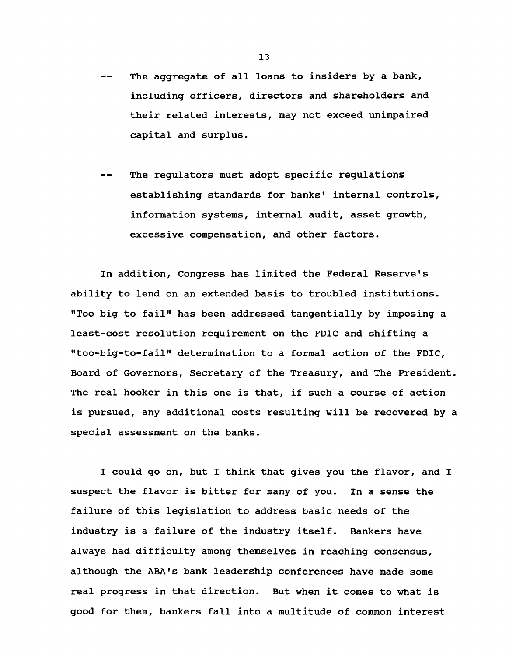- **The aggregate of all loans to insiders by a bank, including officers, directors and shareholders and their related interests, may not exceed unimpaired capital and surplus.**
- **The regulators must adopt specific regulations establishing standards for banks' internal controls, information systems, internal audit, asset growth, excessive compensation, and other factors.**

**In addition, Congress has limited the Federal Reserve's ability to lend on an extended basis to troubled institutions. "Too big to fail" has been addressed tangentially by imposing a least-cost resolution requirement on the FDIC and shifting a "too-big-to-fail" determination to a formal action of the FDIC, Board of Governors, Secretary of the Treasury, and The President. The real hooker in this one is that, if such a course of action is pursued, any additional costs resulting will be recovered by a special assessment on the banks.**

**I could go on, but I think that gives you the flavor, and I suspect the flavor is bitter for many of you. In a sense the failure of this legislation to address basic needs of the industry is a failure of the industry itself. Bankers have always had difficulty among themselves in reaching consensus, although the ABA's bank leadership conferences have made some real progress in that direction. But when it comes to what is good for them, bankers fall into a multitude of common interest**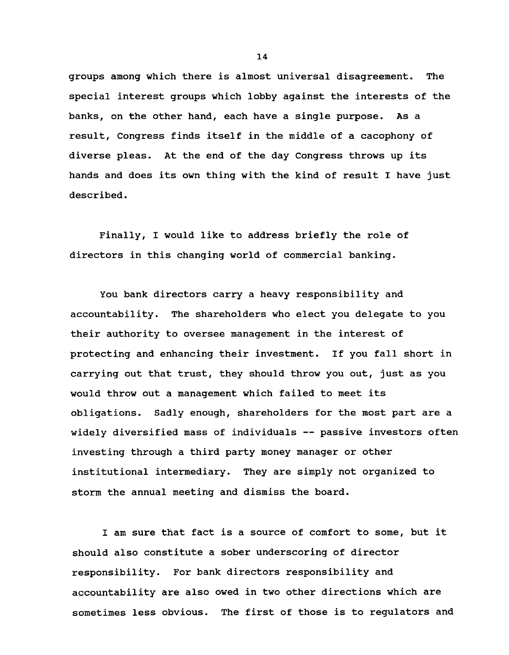**groups among which there is almost universal disagreement. The special interest groups which lobby against the interests of the banks, on the other hand, each have a single purpose. As a result, Congress finds itself in the middle of a cacophony of diverse pleas. At the end of the day Congress throws up its hands and does its own thing with the kind of result I have just described.**

**Finally, I would like to address briefly the role of directors in this changing world of commercial banking.**

**You bank directors carry a heavy responsibility and accountability. The shareholders who elect you delegate to you their authority to oversee management in the interest of protecting and enhancing their investment. If you fall short in carrying out that trust, they should throw you out, just as you would throw out a management which failed to meet its obligations. Sadly enough, shareholders for the most part are a widely diversified mass of individuals — passive investors often investing through a third party money manager or other institutional intermediary. They are simply not organized to storm the annual meeting and dismiss the board.**

**I am sure that fact is a source of comfort to some, but it should also constitute a sober underscoring of director responsibility. For bank directors responsibility and accountability are also owed in two other directions which are sometimes less obvious. The first of those is to regulators and**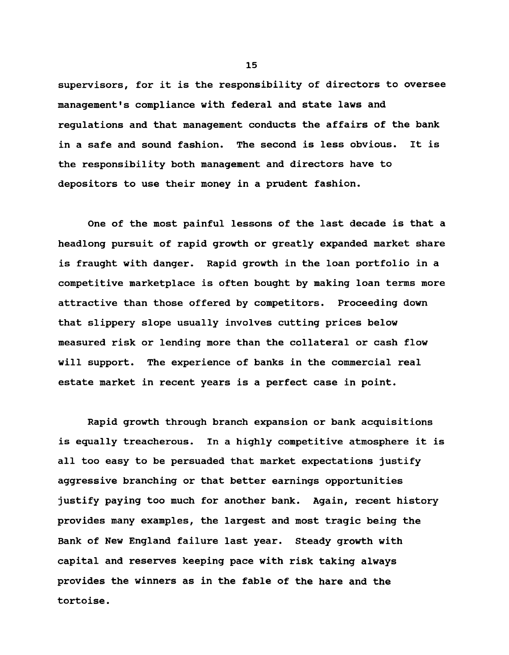**supervisors, for it is the responsibility of directors to oversee management's compliance with federal and state laws and regulations and that management conducts the affairs of the bank in a safe and sound fashion. The second is less obvious. It is the responsibility both management and directors have to depositors to use their money in a prudent fashion.**

**One of the most painful lessons of the last decade is that a headlong pursuit of rapid growth or greatly expanded market share is fraught with danger. Rapid growth in the loan portfolio in a competitive marketplace is often bought by making loan terms more attractive than those offered by competitors. Proceeding down that slippery slope usually involves cutting prices below measured risk or lending more than the collateral or cash flow will support. The experience of banks in the commercial real estate market in recent years is a perfect case in point.**

**Rapid growth through branch expansion or bank acquisitions is equally treacherous. In a highly competitive atmosphere it is all too easy to be persuaded that market expectations justify aggressive branching or that better earnings opportunities justify paying too much for another bank. Again, recent history provides many examples, the largest and most tragic being the Bank of New England failure last year. Steady growth with capital and reserves keeping pace with risk taking always provides the winners as in the fable of the hare and the tortoise.**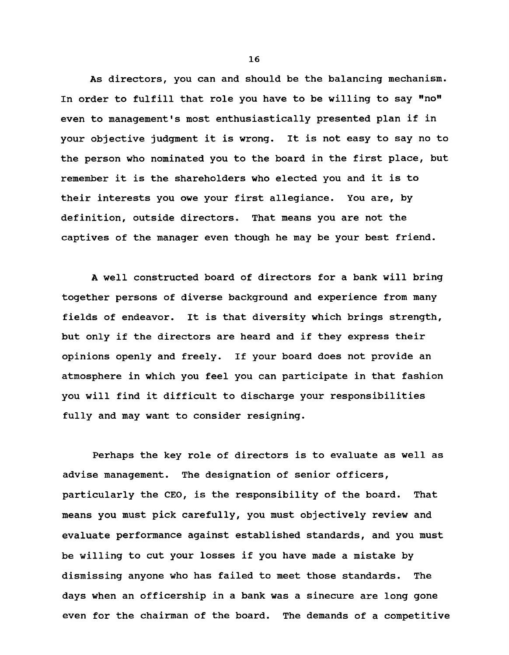**As directors, you can and should be the balancing mechanism. In order to fulfill that role you have to be willing to say "no" even to management's most enthusiastically presented plan if in your objective judgment it is wrong. It is not easy to say no to the person who nominated you to the board in the first place, but remember it is the shareholders who elected you and it is to their interests you owe your first allegiance. You are, by definition, outside directors. That means you are not the captives of the manager even though he may be your best friend.**

**A well constructed board of directors for a bank will bring together persons of diverse background and experience from many fields of endeavor. It is that diversity which brings strength, but only if the directors are heard and if they express their opinions openly and freely. If your board does not provide an atmosphere in which you feel you can participate in that fashion you will find it difficult to discharge your responsibilities fully and may want to consider resigning.**

**Perhaps the key role of directors is to evaluate as well as advise management. The designation of senior officers, particularly the CEO, is the responsibility of the board. That means you must pick carefully, you must objectively review and evaluate performance against established standards, and you must be willing to cut your losses if you have made a mistake by dismissing anyone who has failed to meet those standards. The days when an officership in a bank was a sinecure are long gone even for the chairman of the board. The demands of a competitive**